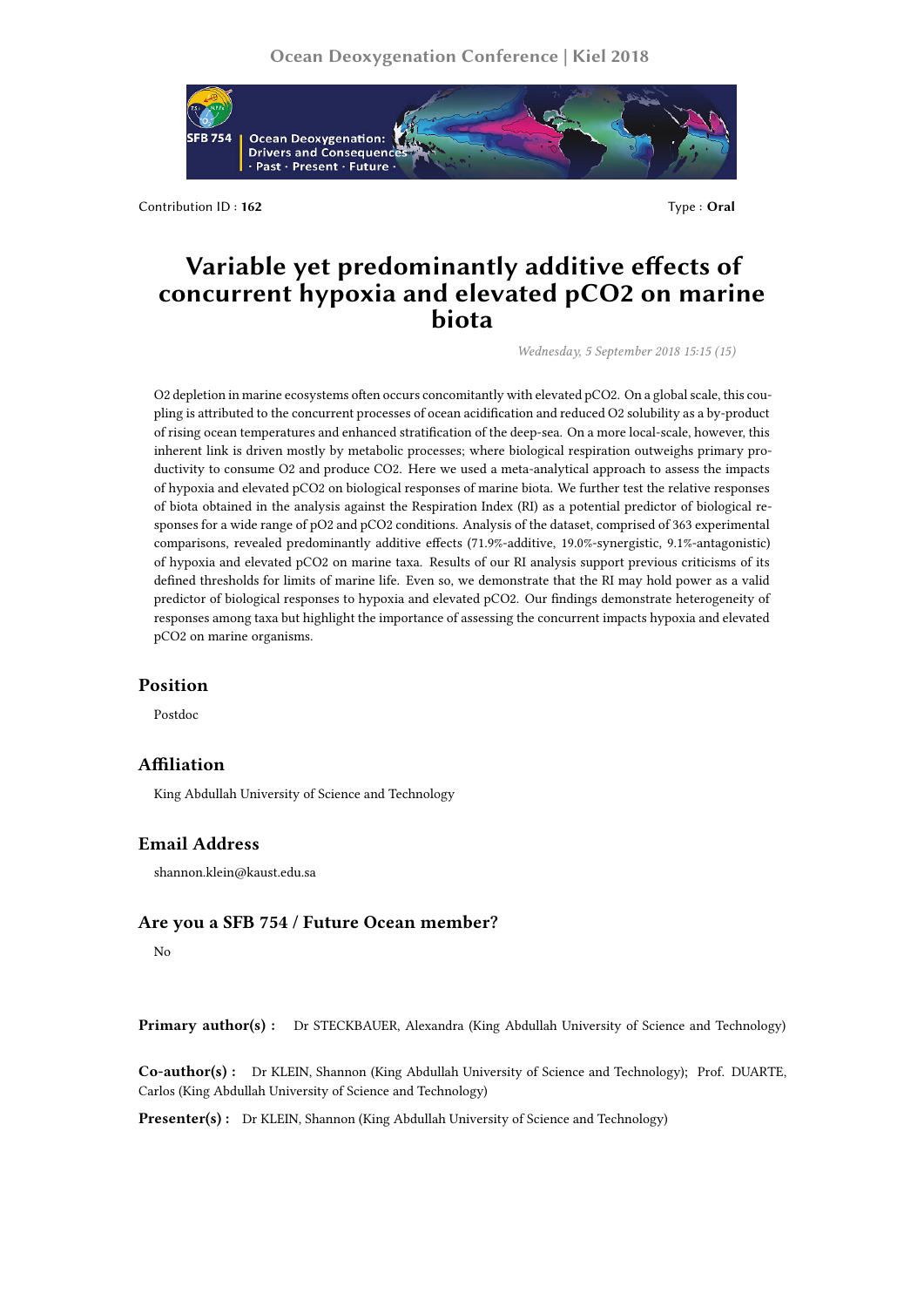

Contribution ID: **162** Type : **Oral** 

# **Variable yet predominantly additive effects of concurrent hypoxia and elevated pCO2 on marine biota**

*Wednesday, 5 September 2018 15:15 (15)*

O2 depletion in marine ecosystems often occurs concomitantly with elevated pCO2. On a global scale, this coupling is attributed to the concurrent processes of ocean acidification and reduced O2 solubility as a by-product of rising ocean temperatures and enhanced stratification of the deep-sea. On a more local-scale, however, this inherent link is driven mostly by metabolic processes; where biological respiration outweighs primary productivity to consume O2 and produce CO2. Here we used a meta-analytical approach to assess the impacts of hypoxia and elevated pCO2 on biological responses of marine biota. We further test the relative responses of biota obtained in the analysis against the Respiration Index (RI) as a potential predictor of biological responses for a wide range of pO2 and pCO2 conditions. Analysis of the dataset, comprised of 363 experimental comparisons, revealed predominantly additive effects (71.9%-additive, 19.0%-synergistic, 9.1%-antagonistic) of hypoxia and elevated pCO2 on marine taxa. Results of our RI analysis support previous criticisms of its defined thresholds for limits of marine life. Even so, we demonstrate that the RI may hold power as a valid predictor of biological responses to hypoxia and elevated pCO2. Our findings demonstrate heterogeneity of responses among taxa but highlight the importance of assessing the concurrent impacts hypoxia and elevated pCO2 on marine organisms.

### **Position**

Postdoc

## **Affiliation**

King Abdullah University of Science and Technology

#### **Email Address**

shannon.klein@kaust.edu.sa

## **Are you a SFB 754 / Future Ocean member?**

No

**Primary author(s) :** Dr STECKBAUER, Alexandra (King Abdullah University of Science and Technology)

**Co-author(s) :** Dr KLEIN, Shannon (King Abdullah University of Science and Technology); Prof. DUARTE, Carlos (King Abdullah University of Science and Technology)

**Presenter(s) :** Dr KLEIN, Shannon (King Abdullah University of Science and Technology)